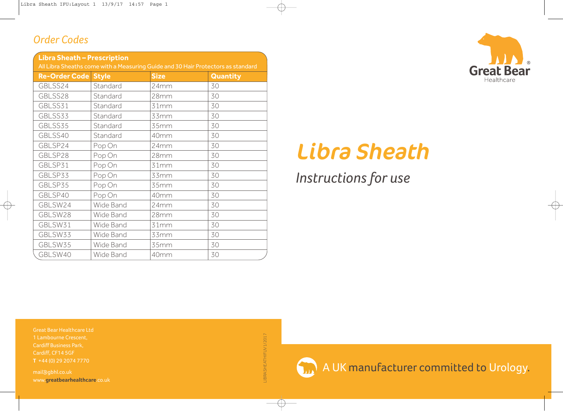#### *Order Codes*

| <b>Libra Sheath - Prescription</b>                                               |           |             |                 |
|----------------------------------------------------------------------------------|-----------|-------------|-----------------|
| All Libra Sheaths come with a Measuring Guide and 30 Hair Protectors as standard |           |             |                 |
| <b>Re-Order Code Style</b>                                                       |           | <b>Size</b> | <b>Quantity</b> |
| GBLSS24                                                                          | Standard  | 24mm        | 30              |
| GBLSS28                                                                          | Standard  | 28mm        | 30              |
| GBLSS31                                                                          | Standard  | 31mm        | 30              |
| GBLSS33                                                                          | Standard  | 33mm        | 30              |
| GBLSS35                                                                          | Standard  | 35mm        | 30              |
| GBLSS40                                                                          | Standard  | 40mm        | 30              |
| GBLSP24                                                                          | Pop On    | 24mm        | 30              |
| GBLSP28                                                                          | Pop On    | 28mm        | 30              |
| GBLSP31                                                                          | Pop On    | 31mm        | 30              |
| GBLSP33                                                                          | Pop On    | 33mm        | 30              |
| GBLSP35                                                                          | Pop On    | 35mm        | 30              |
| GBLSP40                                                                          | Pop On    | 40mm        | 30              |
| GBLSW24                                                                          | Wide Band | 24mm        | 30              |
| GBLSW28                                                                          | Wide Band | 28mm        | 30              |
| GBLSW31                                                                          | Wide Band | 31mm        | 30              |
| GBLSW33                                                                          | Wide Band | 33mm        | 30              |
| GBLSW35                                                                          | Wide Band | 35mm        | 30              |
| GBLSW40                                                                          | Wide Band | 40mm        | 30              |



# **Libra Sheath**

# *Instructionsfor use*

Great Bear Healthcare Ltd 1 Lambourne Crescent, Cardiff Business Park, Cardiff, CF14 5GF

mail@gbhl.co.uk www.**greatbearhealthcare**.co.uk